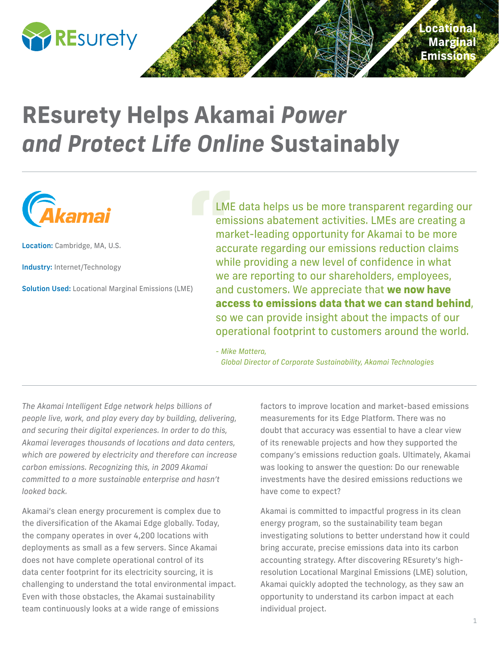

## **REsurety Helps Akamai** *Power and Protect Life Online* **Sustainably**



Location: Cambridge, MA, U.S.

Industry: Internet/Technology

Solution Used: Locational Marginal Emissions (LME)

LME data helps us be more transparent regarding our emissions abatement activities. LMEs are creating a market-leading opportunity for Akamai to be more accurate regarding our emissions reduction claims while providing a new level of confidence in what we are reporting to our shareholders, employees, and customers. We appreciate that **we now have access to emissions data that we can stand behind**, so we can provide insight about the impacts of our operational footprint to customers around the world.

*- Mike Mattera, Global Director of Corporate Sustainability, Akamai Technologies*

*The Akamai Intelligent Edge network helps billions of people live, work, and play every day by building, delivering, and securing their digital experiences. In order to do this, Akamai leverages thousands of locations and data centers, which are powered by electricity and therefore can increase carbon emissions. Recognizing this, in 2009 Akamai committed to a more sustainable enterprise and hasn't looked back.*

Akamai's clean energy procurement is complex due to the diversification of the Akamai Edge globally. Today, the company operates in over 4,200 locations with deployments as small as a few servers. Since Akamai does not have complete operational control of its data center footprint for its electricity sourcing, it is challenging to understand the total environmental impact. Even with those obstacles, the Akamai sustainability team continuously looks at a wide range of emissions

factors to improve location and market-based emissions measurements for its Edge Platform. There was no doubt that accuracy was essential to have a clear view of its renewable projects and how they supported the company's emissions reduction goals. Ultimately, Akamai was looking to answer the question: Do our renewable investments have the desired emissions reductions we have come to expect?

Akamai is committed to impactful progress in its clean energy program, so the sustainability team began investigating solutions to better understand how it could bring accurate, precise emissions data into its carbon accounting strategy. After discovering REsurety's highresolution Locational Marginal Emissions (LME) solution, Akamai quickly adopted the technology, as they saw an opportunity to understand its carbon impact at each individual project.